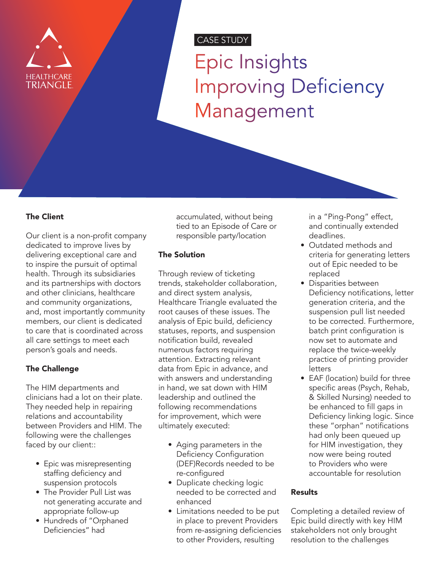

# CASE STUDY

Epic Insights Improving Deficiency Management

#### The Client

Our client is a non-profit company dedicated to improve lives by delivering exceptional care and to inspire the pursuit of optimal health. Through its subsidiaries and its partnerships with doctors and other clinicians, healthcare and community organizations, and, most importantly community members, our client is dedicated to care that is coordinated across all care settings to meet each person's goals and needs.

#### The Challenge

The HIM departments and clinicians had a lot on their plate. They needed help in repairing relations and accountability between Providers and HIM. The following were the challenges faced by our client::

- Epic was misrepresenting staffing deficiency and suspension protocols
- The Provider Pull List was not generating accurate and appropriate follow-up
- Hundreds of "Orphaned Deficiencies" had

accumulated, without being tied to an Episode of Care or responsible party/location

## The Solution

Through review of ticketing trends, stakeholder collaboration, and direct system analysis, Healthcare Triangle evaluated the root causes of these issues. The analysis of Epic build, deficiency statuses, reports, and suspension notification build, revealed numerous factors requiring attention. Extracting relevant data from Epic in advance, and with answers and understanding in hand, we sat down with HIM leadership and outlined the following recommendations for improvement, which were ultimately executed:

- Aging parameters in the Deficiency Configuration (DEF)Records needed to be re-configured
- Duplicate checking logic needed to be corrected and enhanced
- Limitations needed to be put in place to prevent Providers from re-assigning deficiencies to other Providers, resulting

in a "Ping-Pong" effect, and continually extended deadlines.

- Outdated methods and criteria for generating letters out of Epic needed to be replaced
- Disparities between Deficiency notifications, letter generation criteria, and the suspension pull list needed to be corrected. Furthermore, batch print configuration is now set to automate and replace the twice-weekly practice of printing provider letters
- EAF (location) build for three specific areas (Psych, Rehab, & Skilled Nursing) needed to be enhanced to fill gaps in Deficiency linking logic. Since these "orphan" notifications had only been queued up for HIM investigation, they now were being routed to Providers who were accountable for resolution

#### Results

Completing a detailed review of Epic build directly with key HIM stakeholders not only brought resolution to the challenges